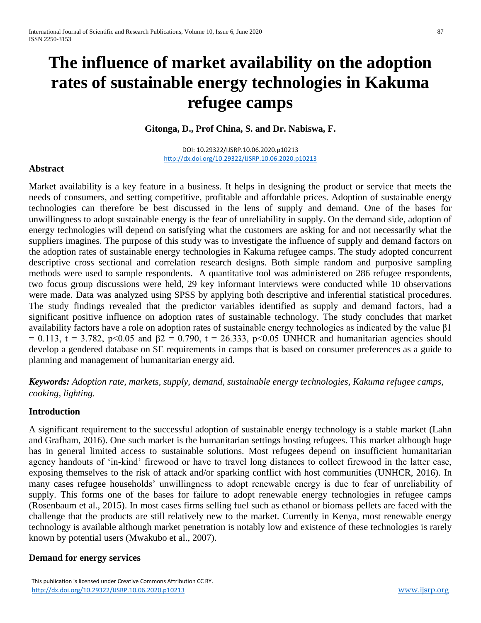# **The influence of market availability on the adoption rates of sustainable energy technologies in Kakuma refugee camps**

**Gitonga, D., Prof China, S. and Dr. Nabiswa, F.**

DOI: 10.29322/IJSRP.10.06.2020.p10213 <http://dx.doi.org/10.29322/IJSRP.10.06.2020.p10213>

## **Abstract**

Market availability is a key feature in a business. It helps in designing the product or service that meets the needs of consumers, and setting competitive, profitable and affordable prices. Adoption of sustainable energy technologies can therefore be best discussed in the lens of supply and demand. One of the bases for unwillingness to adopt sustainable energy is the fear of unreliability in supply. On the demand side, adoption of energy technologies will depend on satisfying what the customers are asking for and not necessarily what the suppliers imagines. The purpose of this study was to investigate the influence of supply and demand factors on the adoption rates of sustainable energy technologies in Kakuma refugee camps. The study adopted concurrent descriptive cross sectional and correlation research designs. Both simple random and purposive sampling methods were used to sample respondents. A quantitative tool was administered on 286 refugee respondents, two focus group discussions were held, 29 key informant interviews were conducted while 10 observations were made. Data was analyzed using SPSS by applying both descriptive and inferential statistical procedures. The study findings revealed that the predictor variables identified as supply and demand factors, had a significant positive influence on adoption rates of sustainable technology. The study concludes that market availability factors have a role on adoption rates of sustainable energy technologies as indicated by the value β1 = 0.113, t = 3.782, p<0.05 and β2 = 0.790, t = 26.333, p<0.05 UNHCR and humanitarian agencies should develop a gendered database on SE requirements in camps that is based on consumer preferences as a guide to planning and management of humanitarian energy aid.

*Keywords: Adoption rate, markets, supply, demand, sustainable energy technologies, Kakuma refugee camps, cooking, lighting.*

## **Introduction**

A significant requirement to the successful adoption of sustainable energy technology is a stable market (Lahn and Grafham, 2016). One such market is the humanitarian settings hosting refugees. This market although huge has in general limited access to sustainable solutions. Most refugees depend on insufficient humanitarian agency handouts of 'in-kind' firewood or have to travel long distances to collect firewood in the latter case, exposing themselves to the risk of attack and/or sparking conflict with host communities (UNHCR, 2016). In many cases refugee households' unwillingness to adopt renewable energy is due to fear of unreliability of supply. This forms one of the bases for failure to adopt renewable energy technologies in refugee camps (Rosenbaum et al., 2015). In most cases firms selling fuel such as ethanol or biomass pellets are faced with the challenge that the products are still relatively new to the market. Currently in Kenya, most renewable energy technology is available although market penetration is notably low and existence of these technologies is rarely known by potential users (Mwakubo et al., 2007).

# **Demand for energy services**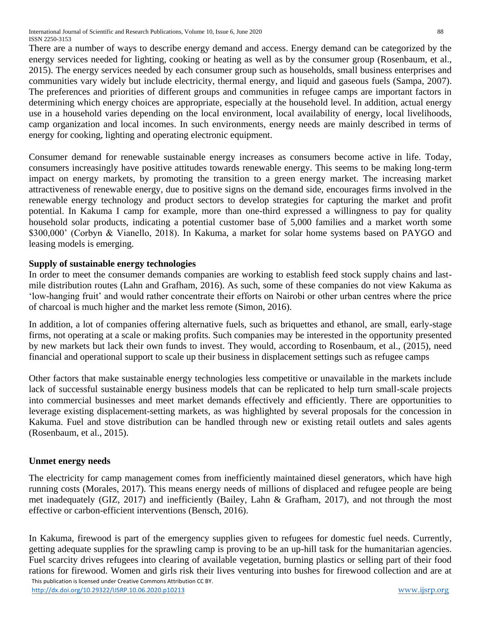There are a number of ways to describe energy demand and access. Energy demand can be categorized by the energy services needed for lighting, cooking or heating as well as by the consumer group (Rosenbaum, et al., 2015). The energy services needed by each consumer group such as households, small business enterprises and communities vary widely but include electricity, thermal energy, and liquid and gaseous fuels (Sampa, 2007). The preferences and priorities of different groups and communities in refugee camps are important factors in determining which energy choices are appropriate, especially at the household level. In addition, actual energy use in a household varies depending on the local environment, local availability of energy, local livelihoods, camp organization and local incomes. In such environments, energy needs are mainly described in terms of energy for cooking, lighting and operating electronic equipment.

Consumer demand for renewable sustainable energy increases as consumers become active in life. Today, consumers increasingly have positive attitudes towards renewable energy. This seems to be making long-term impact on energy markets, by promoting the transition to a green energy market. The increasing market attractiveness of renewable energy, due to positive signs on the demand side, encourages firms involved in the renewable energy technology and product sectors to develop strategies for capturing the market and profit potential. In Kakuma I camp for example, more than one-third expressed a willingness to pay for quality household solar products, indicating a potential customer base of 5,000 families and a market worth some \$300,000' (Corbyn & Vianello, 2018). In Kakuma, a market for solar home systems based on PAYGO and leasing models is emerging.

# **Supply of sustainable energy technologies**

In order to meet the consumer demands companies are working to establish feed stock supply chains and lastmile distribution routes (Lahn and Grafham, 2016). As such, some of these companies do not view Kakuma as 'low-hanging fruit' and would rather concentrate their efforts on Nairobi or other urban centres where the price of charcoal is much higher and the market less remote (Simon, 2016).

In addition, a lot of companies offering alternative fuels, such as briquettes and ethanol, are small, early-stage firms, not operating at a scale or making profits. Such companies may be interested in the opportunity presented by new markets but lack their own funds to invest. They would, according to Rosenbaum, et al., (2015), need financial and operational support to scale up their business in displacement settings such as refugee camps

Other factors that make sustainable energy technologies less competitive or unavailable in the markets include lack of successful sustainable energy business models that can be replicated to help turn small-scale projects into commercial businesses and meet market demands effectively and efficiently. There are opportunities to leverage existing displacement-setting markets, as was highlighted by several proposals for the concession in Kakuma. Fuel and stove distribution can be handled through new or existing retail outlets and sales agents (Rosenbaum, et al., 2015).

# **Unmet energy needs**

The electricity for camp management comes from inefficiently maintained diesel generators, which have high running costs (Morales, 2017). This means energy needs of millions of displaced and refugee people are being met inadequately (GIZ, 2017) and inefficiently (Bailey, Lahn & Grafham, 2017), and not through the most effective or carbon-efficient interventions (Bensch, 2016).

 This publication is licensed under Creative Commons Attribution CC BY. <http://dx.doi.org/10.29322/IJSRP.10.06.2020.p10213> [www.ijsrp.org](http://ijsrp.org/) In Kakuma, firewood is part of the emergency supplies given to refugees for domestic fuel needs. Currently, getting adequate supplies for the sprawling camp is proving to be an up-hill task for the humanitarian agencies. Fuel scarcity drives refugees into clearing of available vegetation, burning plastics or selling part of their food rations for firewood. Women and girls risk their lives venturing into bushes for firewood collection and are at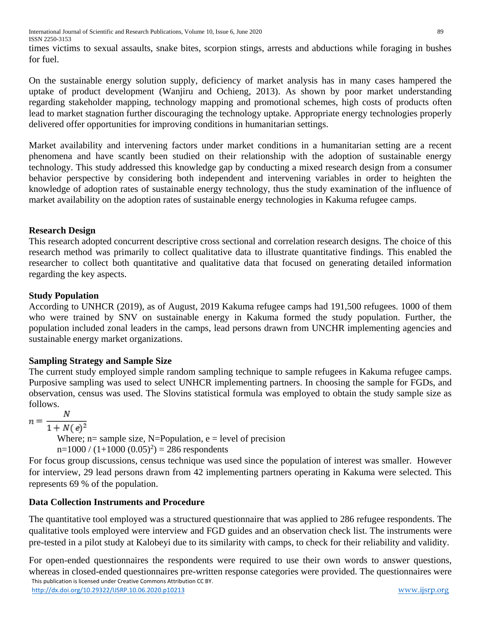times victims to sexual assaults, snake bites, scorpion stings, arrests and abductions while foraging in bushes for fuel.

On the sustainable energy solution supply, deficiency of market analysis has in many cases hampered the uptake of product development (Wanjiru and Ochieng, 2013). As shown by poor market understanding regarding stakeholder mapping, technology mapping and promotional schemes, high costs of products often lead to market stagnation further discouraging the technology uptake. Appropriate energy technologies properly delivered offer opportunities for improving conditions in humanitarian settings.

Market availability and intervening factors under market conditions in a humanitarian setting are a recent phenomena and have scantly been studied on their relationship with the adoption of sustainable energy technology. This study addressed this knowledge gap by conducting a mixed research design from a consumer behavior perspective by considering both independent and intervening variables in order to heighten the knowledge of adoption rates of sustainable energy technology, thus the study examination of the influence of market availability on the adoption rates of sustainable energy technologies in Kakuma refugee camps.

# **Research Design**

This research adopted concurrent descriptive cross sectional and correlation research designs. The choice of this research method was primarily to collect qualitative data to illustrate quantitative findings. This enabled the researcher to collect both quantitative and qualitative data that focused on generating detailed information regarding the key aspects.

# **Study Population**

According to UNHCR (2019), as of August, 2019 Kakuma refugee camps had 191,500 refugees. 1000 of them who were trained by SNV on sustainable energy in Kakuma formed the study population. Further, the population included zonal leaders in the camps, lead persons drawn from UNCHR implementing agencies and sustainable energy market organizations.

# **Sampling Strategy and Sample Size**

The current study employed simple random sampling technique to sample refugees in Kakuma refugee camps. Purposive sampling was used to select UNHCR implementing partners. In choosing the sample for FGDs, and observation, census was used. The Slovins statistical formula was employed to obtain the study sample size as follows.

$$
n = \frac{N}{1 + N(e)^2}
$$

Where;  $n=$  sample size, N=Population,  $e =$  level of precision

 $n=1000 / (1+1000 (0.05)^2) = 286$  respondents

For focus group discussions, census technique was used since the population of interest was smaller. However for interview, 29 lead persons drawn from 42 implementing partners operating in Kakuma were selected. This represents 69 % of the population.

# **Data Collection Instruments and Procedure**

The quantitative tool employed was a structured questionnaire that was applied to 286 refugee respondents. The qualitative tools employed were interview and FGD guides and an observation check list. The instruments were pre-tested in a pilot study at Kalobeyi due to its similarity with camps, to check for their reliability and validity.

 This publication is licensed under Creative Commons Attribution CC BY. <http://dx.doi.org/10.29322/IJSRP.10.06.2020.p10213> [www.ijsrp.org](http://ijsrp.org/) For open-ended questionnaires the respondents were required to use their own words to answer questions, whereas in closed-ended questionnaires pre-written response categories were provided. The questionnaires were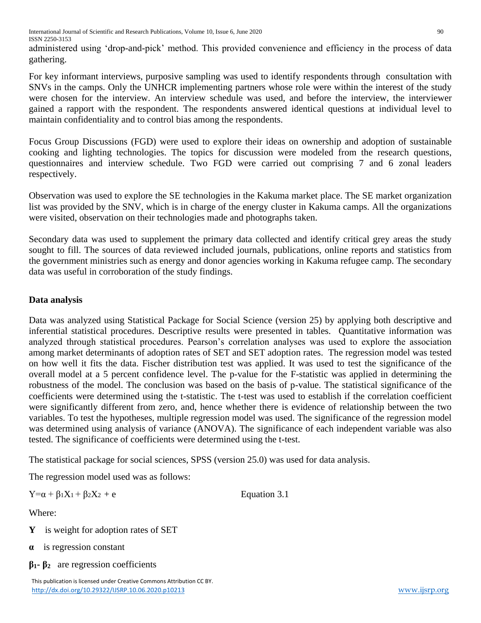administered using 'drop-and-pick' method. This provided convenience and efficiency in the process of data gathering.

For key informant interviews, purposive sampling was used to identify respondents through consultation with SNVs in the camps. Only the UNHCR implementing partners whose role were within the interest of the study were chosen for the interview. An interview schedule was used, and before the interview, the interviewer gained a rapport with the respondent. The respondents answered identical questions at individual level to maintain confidentiality and to control bias among the respondents.

Focus Group Discussions (FGD) were used to explore their ideas on ownership and adoption of sustainable cooking and lighting technologies. The topics for discussion were modeled from the research questions, questionnaires and interview schedule. Two FGD were carried out comprising 7 and 6 zonal leaders respectively.

Observation was used to explore the SE technologies in the Kakuma market place. The SE market organization list was provided by the SNV, which is in charge of the energy cluster in Kakuma camps. All the organizations were visited, observation on their technologies made and photographs taken.

Secondary data was used to supplement the primary data collected and identify critical grey areas the study sought to fill. The sources of data reviewed included journals, publications, online reports and statistics from the government ministries such as energy and donor agencies working in Kakuma refugee camp. The secondary data was useful in corroboration of the study findings.

# **Data analysis**

Data was analyzed using Statistical Package for Social Science (version 25) by applying both descriptive and inferential statistical procedures. Descriptive results were presented in tables. Quantitative information was analyzed through statistical procedures. Pearson's correlation analyses was used to explore the association among market determinants of adoption rates of SET and SET adoption rates. The regression model was tested on how well it fits the data. Fischer distribution test was applied. It was used to test the significance of the overall model at a 5 percent confidence level. The p-value for the F-statistic was applied in determining the robustness of the model. The conclusion was based on the basis of p-value. The statistical significance of the coefficients were determined using the t-statistic. The t-test was used to establish if the correlation coefficient were significantly different from zero, and, hence whether there is evidence of relationship between the two variables. To test the hypotheses, multiple regression model was used. The significance of the regression model was determined using analysis of variance (ANOVA). The significance of each independent variable was also tested. The significance of coefficients were determined using the t-test.

The statistical package for social sciences, SPSS (version 25.0) was used for data analysis.

The regression model used was as follows:

 $Y=\alpha + \beta_1X_1 + \beta_2X_2 + e$  Equation 3.1

Where:

- **Y** is weight for adoption rates of SET
- **α** is regression constant
- **β1- β2** are regression coefficients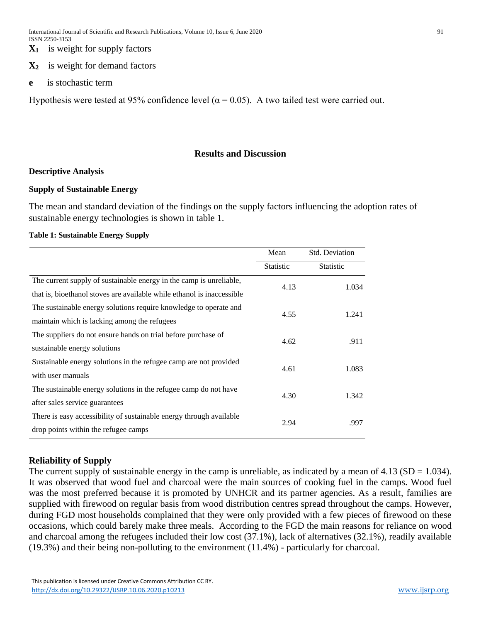**X1** is weight for supply factors

#### **X2** is weight for demand factors

**e** is stochastic term

Hypothesis were tested at 95% confidence level ( $\alpha$  = 0.05). A two tailed test were carried out.

#### **Results and Discussion**

#### **Descriptive Analysis**

#### **Supply of Sustainable Energy**

The mean and standard deviation of the findings on the supply factors influencing the adoption rates of sustainable energy technologies is shown in table 1.

#### **Table 1: Sustainable Energy Supply**

|                                                                        | <b>Std. Deviation</b><br>Mean |                  |
|------------------------------------------------------------------------|-------------------------------|------------------|
|                                                                        | <b>Statistic</b>              | <b>Statistic</b> |
| The current supply of sustainable energy in the camp is unreliable,    | 4.13                          | 1.034            |
| that is, bioethanol stoves are available while ethanol is inaccessible |                               |                  |
| The sustainable energy solutions require knowledge to operate and      | 4.55                          | 1.241            |
| maintain which is lacking among the refugees                           |                               |                  |
| The suppliers do not ensure hands on trial before purchase of          | 4.62                          | .911             |
| sustainable energy solutions                                           |                               |                  |
| Sustainable energy solutions in the refugee camp are not provided      | 4.61                          | 1.083            |
| with user manuals                                                      |                               |                  |
| The sustainable energy solutions in the refugee camp do not have       | 4.30                          | 1.342            |
| after sales service guarantees                                         |                               |                  |
| There is easy accessibility of sustainable energy through available    | 2.94                          | .997             |
| drop points within the refugee camps                                   |                               |                  |

## **Reliability of Supply**

The current supply of sustainable energy in the camp is unreliable, as indicated by a mean of  $4.13$  (SD = 1.034). It was observed that wood fuel and charcoal were the main sources of cooking fuel in the camps. Wood fuel was the most preferred because it is promoted by UNHCR and its partner agencies. As a result, families are supplied with firewood on regular basis from wood distribution centres spread throughout the camps. However, during FGD most households complained that they were only provided with a few pieces of firewood on these occasions, which could barely make three meals. According to the FGD the main reasons for reliance on wood and charcoal among the refugees included their low cost (37.1%), lack of alternatives (32.1%), readily available (19.3%) and their being non-polluting to the environment (11.4%) - particularly for charcoal.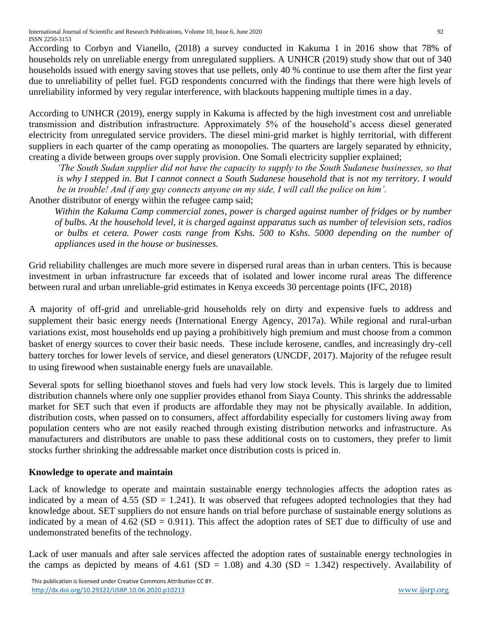International Journal of Scientific and Research Publications, Volume 10, Issue 6, June 2020 92 ISSN 2250-3153

According to Corbyn and Vianello, (2018) a survey conducted in Kakuma 1 in 2016 show that 78% of households rely on unreliable energy from unregulated suppliers. A UNHCR (2019) study show that out of 340 households issued with energy saving stoves that use pellets, only 40 % continue to use them after the first year due to unreliability of pellet fuel. FGD respondents concurred with the findings that there were high levels of unreliability informed by very regular interference, with blackouts happening multiple times in a day.

According to UNHCR (2019), energy supply in Kakuma is affected by the high investment cost and unreliable transmission and distribution infrastructure. Approximately 5% of the household's access diesel generated electricity from unregulated service providers. The diesel mini-grid market is highly territorial, with different suppliers in each quarter of the camp operating as monopolies. The quarters are largely separated by ethnicity, creating a divide between groups over supply provision. One Somali electricity supplier explained;

*'The South Sudan supplier did not have the capacity to supply to the South Sudanese businesses, so that is why I stepped in. But I cannot connect a South Sudanese household that is not my territory. I would be in trouble! And if any guy connects anyone on my side, I will call the police on him'.*

Another distributor of energy within the refugee camp said;

*Within the Kakuma Camp commercial zones, power is charged against number of fridges or by number of bulbs. At the household level, it is charged against apparatus such as number of television sets, radios or bulbs et cetera. Power costs range from Kshs. 500 to Kshs. 5000 depending on the number of appliances used in the house or businesses.*

Grid reliability challenges are much more severe in dispersed rural areas than in urban centers. This is because investment in urban infrastructure far exceeds that of isolated and lower income rural areas The difference between rural and urban unreliable-grid estimates in Kenya exceeds 30 percentage points (IFC, 2018)

A majority of off-grid and unreliable-grid households rely on dirty and expensive fuels to address and supplement their basic energy needs (International Energy Agency, 2017a). While regional and rural-urban variations exist, most households end up paying a prohibitively high premium and must choose from a common basket of energy sources to cover their basic needs. These include kerosene, candles, and increasingly dry-cell battery torches for lower levels of service, and diesel generators (UNCDF, 2017). Majority of the refugee result to using firewood when sustainable energy fuels are unavailable.

Several spots for selling bioethanol stoves and fuels had very low stock levels. This is largely due to limited distribution channels where only one supplier provides ethanol from Siaya County. This shrinks the addressable market for SET such that even if products are affordable they may not be physically available. In addition, distribution costs, when passed on to consumers, affect affordability especially for customers living away from population centers who are not easily reached through existing distribution networks and infrastructure. As manufacturers and distributors are unable to pass these additional costs on to customers, they prefer to limit stocks further shrinking the addressable market once distribution costs is priced in.

# **Knowledge to operate and maintain**

Lack of knowledge to operate and maintain sustainable energy technologies affects the adoption rates as indicated by a mean of 4.55 ( $SD = 1.241$ ). It was observed that refugees adopted technologies that they had knowledge about. SET suppliers do not ensure hands on trial before purchase of sustainable energy solutions as indicated by a mean of  $4.62$  (SD = 0.911). This affect the adoption rates of SET due to difficulty of use and undemonstrated benefits of the technology.

Lack of user manuals and after sale services affected the adoption rates of sustainable energy technologies in the camps as depicted by means of 4.61 (SD = 1.08) and 4.30 (SD = 1.342) respectively. Availability of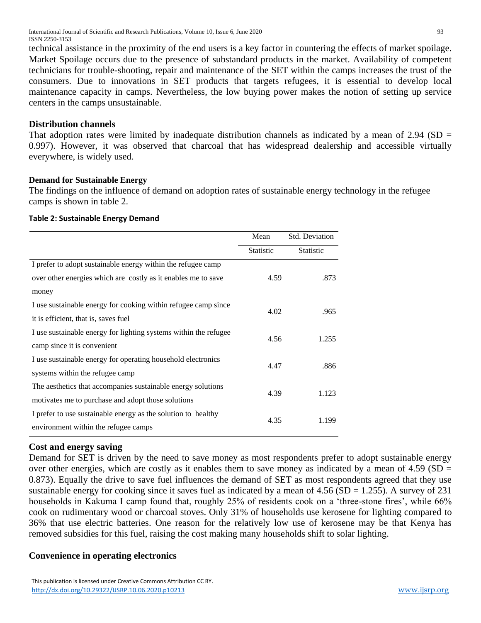International Journal of Scientific and Research Publications, Volume 10, Issue 6, June 2020 93 ISSN 2250-3153

technical assistance in the proximity of the end users is a key factor in countering the effects of market spoilage. Market Spoilage occurs due to the presence of substandard products in the market. Availability of competent technicians for trouble-shooting, repair and maintenance of the SET within the camps increases the trust of the consumers. Due to innovations in SET products that targets refugees, it is essential to develop local maintenance capacity in camps. Nevertheless, the low buying power makes the notion of setting up service centers in the camps unsustainable.

#### **Distribution channels**

That adoption rates were limited by inadequate distribution channels as indicated by a mean of  $2.94$  (SD = 0.997). However, it was observed that charcoal that has widespread dealership and accessible virtually everywhere, is widely used.

#### **Demand for Sustainable Energy**

The findings on the influence of demand on adoption rates of sustainable energy technology in the refugee camps is shown in table 2.

#### **Table 2: Sustainable Energy Demand**

|                                                                  | Mean      | Std. Deviation |
|------------------------------------------------------------------|-----------|----------------|
|                                                                  | Statistic | Statistic      |
| I prefer to adopt sustainable energy within the refugee camp     |           |                |
| over other energies which are costly as it enables me to save    | 4.59      | .873           |
| money                                                            |           |                |
| I use sustainable energy for cooking within refugee camp since   | 4.02      | .965           |
| it is efficient, that is, saves fuel                             |           |                |
| I use sustainable energy for lighting systems within the refugee | 4.56      | 1.255          |
| camp since it is convenient                                      |           |                |
| I use sustainable energy for operating household electronics     | 4.47      | .886           |
| systems within the refugee camp                                  |           |                |
| The aesthetics that accompanies sustainable energy solutions     | 4.39      | 1.123          |
| motivates me to purchase and adopt those solutions               |           |                |
| I prefer to use sustainable energy as the solution to healthy    | 4.35      | 1.199          |
| environment within the refugee camps                             |           |                |

# **Cost and energy saving**

Demand for SET is driven by the need to save money as most respondents prefer to adopt sustainable energy over other energies, which are costly as it enables them to save money as indicated by a mean of  $4.59$  (SD = 0.873). Equally the drive to save fuel influences the demand of SET as most respondents agreed that they use sustainable energy for cooking since it saves fuel as indicated by a mean of  $4.56$  (SD = 1.255). A survey of 231 households in Kakuma I camp found that, roughly 25% of residents cook on a 'three-stone fires', while 66% cook on rudimentary wood or charcoal stoves. Only 31% of households use kerosene for lighting compared to 36% that use electric batteries. One reason for the relatively low use of kerosene may be that Kenya has removed subsidies for this fuel, raising the cost making many households shift to solar lighting.

## **Convenience in operating electronics**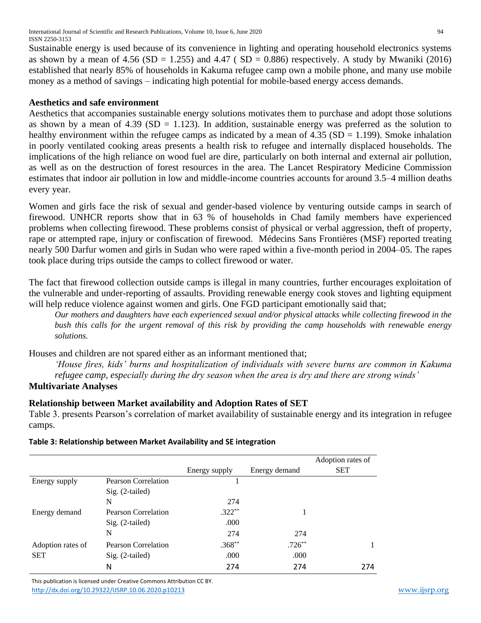International Journal of Scientific and Research Publications, Volume 10, Issue 6, June 2020 94 ISSN 2250-3153

Sustainable energy is used because of its convenience in lighting and operating household electronics systems as shown by a mean of  $4.56$  (SD = 1.255) and  $4.47$  (SD = 0.886) respectively. A study by Mwaniki (2016) established that nearly 85% of households in Kakuma refugee camp own a mobile phone, and many use mobile money as a method of savings – indicating high potential for mobile-based energy access demands.

#### **Aesthetics and safe environment**

Aesthetics that accompanies sustainable energy solutions motivates them to purchase and adopt those solutions as shown by a mean of 4.39 ( $SD = 1.123$ ). In addition, sustainable energy was preferred as the solution to healthy environment within the refugee camps as indicated by a mean of  $4.35$  (SD = 1.199). Smoke inhalation in poorly ventilated cooking areas presents a health risk to refugee and internally displaced households. The implications of the high reliance on wood fuel are dire, particularly on both internal and external air pollution, as well as on the destruction of forest resources in the area. The Lancet Respiratory Medicine Commission estimates that indoor air pollution in low and middle-income countries accounts for around 3.5–4 million deaths every year.

Women and girls face the risk of sexual and gender-based violence by venturing outside camps in search of firewood. UNHCR reports show that in 63 % of households in Chad family members have experienced problems when collecting firewood. These problems consist of physical or verbal aggression, theft of property, rape or attempted rape, injury or confiscation of firewood. Médecins Sans Frontières (MSF) reported treating nearly 500 Darfur women and girls in Sudan who were raped within a five-month period in 2004–05. The rapes took place during trips outside the camps to collect firewood or water.

The fact that firewood collection outside camps is illegal in many countries, further encourages exploitation of the vulnerable and under-reporting of assaults. Providing renewable energy cook stoves and lighting equipment will help reduce violence against women and girls. One FGD participant emotionally said that;

*Our mothers and daughters have each experienced sexual and/or physical attacks while collecting firewood in the bush this calls for the urgent removal of this risk by providing the camp households with renewable energy solutions.*

Houses and children are not spared either as an informant mentioned that;

*'House fires, kids' burns and hospitalization of individuals with severe burns are common in Kakuma refugee camp, especially during the dry season when the area is dry and there are strong winds'*  **Multivariate Analyses**

## **Relationship between Market availability and Adoption Rates of SET**

Table 3. presents Pearson's correlation of market availability of sustainable energy and its integration in refugee camps.

#### **Table 3: Relationship between Market Availability and SE integration**

|                   |                            |               |               | Adoption rates of |
|-------------------|----------------------------|---------------|---------------|-------------------|
|                   |                            | Energy supply | Energy demand | <b>SET</b>        |
| Energy supply     | <b>Pearson Correlation</b> |               |               |                   |
|                   | $Sig. (2-tailed)$          |               |               |                   |
|                   | N                          | 274           |               |                   |
| Energy demand     | <b>Pearson Correlation</b> | $.322**$      |               |                   |
|                   | $Sig. (2-tailed)$          | .000          |               |                   |
|                   | N                          | 274           | 274           |                   |
| Adoption rates of | <b>Pearson Correlation</b> | $.368**$      | $.726***$     |                   |
| <b>SET</b>        | $Sig. (2-tailed)$          | .000          | .000          |                   |
|                   | N                          | 274           | 274           | 274               |

 This publication is licensed under Creative Commons Attribution CC BY. <http://dx.doi.org/10.29322/IJSRP.10.06.2020.p10213> [www.ijsrp.org](http://ijsrp.org/)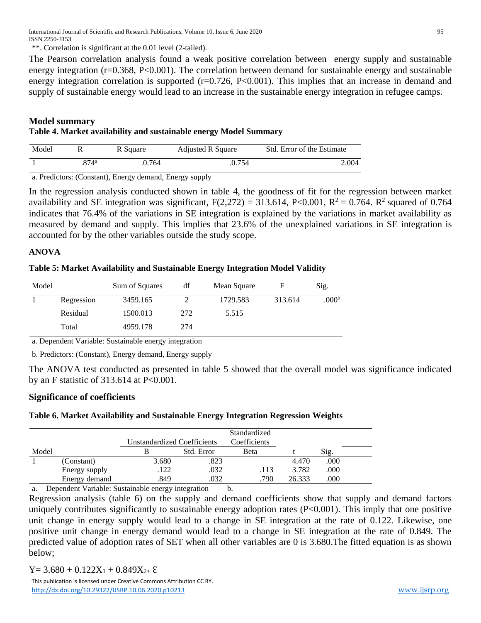\*\*. Correlation is significant at the 0.01 level (2-tailed).

The Pearson correlation analysis found a weak positive correlation between energy supply and sustainable energy integration ( $r=0.368$ ,  $P<0.001$ ). The correlation between demand for sustainable energy and sustainable energy integration correlation is supported  $(r=0.726, P<0.001)$ . This implies that an increase in demand and supply of sustainable energy would lead to an increase in the sustainable energy integration in refugee camps.

#### **Model summary Table 4. Market availability and sustainable energy Model Summary**

| Model |                     | R Square | Adjusted R Square | Std. Error of the Estimate |
|-------|---------------------|----------|-------------------|----------------------------|
|       | $.874$ <sup>a</sup> | .0.764   | .0.754            | 2.004                      |

a. Predictors: (Constant), Energy demand, Energy supply

In the regression analysis conducted shown in table 4, the goodness of fit for the regression between market availability and SE integration was significant,  $F(2,272) = 313.614$ ,  $P<0.001$ ,  $R^2 = 0.764$ .  $R^2$  squared of 0.764 indicates that 76.4% of the variations in SE integration is explained by the variations in market availability as measured by demand and supply. This implies that 23.6% of the unexplained variations in SE integration is accounted for by the other variables outside the study scope.

## **ANOVA**

| Table 5: Market Availability and Sustainable Energy Integration Model Validity |  |  |  |
|--------------------------------------------------------------------------------|--|--|--|
|--------------------------------------------------------------------------------|--|--|--|

| Model |            | Sum of Squares | df  | Mean Square | F       | Sig.              |
|-------|------------|----------------|-----|-------------|---------|-------------------|
|       | Regression | 3459.165       |     | 1729.583    | 313.614 | .000 <sup>b</sup> |
|       | Residual   | 1500.013       | 272 | 5.515       |         |                   |
|       | Total      | 4959.178       | 274 |             |         |                   |

a. Dependent Variable: Sustainable energy integration

b. Predictors: (Constant), Energy demand, Energy supply

The ANOVA test conducted as presented in table 5 showed that the overall model was significance indicated by an F statistic of 313.614 at P<0.001.

## **Significance of coefficients**

## **Table 6. Market Availability and Sustainable Energy Integration Regression Weights**

|            |                                                                                                                                                | Unstandardized Coefficients |            |      |        |      |  |
|------------|------------------------------------------------------------------------------------------------------------------------------------------------|-----------------------------|------------|------|--------|------|--|
| Model      |                                                                                                                                                |                             | Std. Error | Beta |        | Sig. |  |
|            | (Constant)                                                                                                                                     | 3.680                       | .823       |      | 4.470  | .000 |  |
|            | Energy supply                                                                                                                                  | .122                        | .032       | .113 | 3.782  | .000 |  |
|            | Energy demand                                                                                                                                  | .849                        | .032       | .790 | 26.333 | .000 |  |
| $\sqrt{ }$ | $\mathbf{1}$ $\mathbf{1}$ $\mathbf{1}$ $\mathbf{1}$ $\mathbf{1}$ $\mathbf{1}$ $\mathbf{1}$ $\mathbf{1}$ $\mathbf{1}$ $\mathbf{1}$ $\mathbf{1}$ |                             |            |      |        |      |  |

a. Dependent Variable: Sustainable energy integration b.

Regression analysis (table 6) on the supply and demand coefficients show that supply and demand factors uniquely contributes significantly to sustainable energy adoption rates  $(P<0.001)$ . This imply that one positive unit change in energy supply would lead to a change in SE integration at the rate of 0.122. Likewise, one positive unit change in energy demand would lead to a change in SE integration at the rate of 0.849. The predicted value of adoption rates of SET when all other variables are 0 is 3.680.The fitted equation is as shown below;

 $Y= 3.680 + 0.122X_1 + 0.849X_2 + \epsilon$ 

 This publication is licensed under Creative Commons Attribution CC BY. <http://dx.doi.org/10.29322/IJSRP.10.06.2020.p10213> [www.ijsrp.org](http://ijsrp.org/)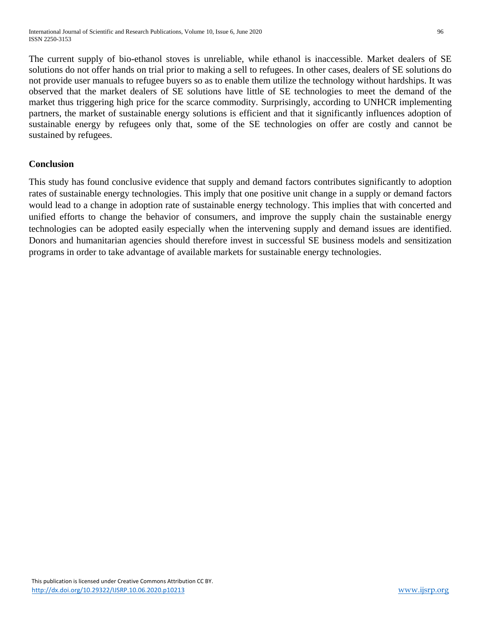The current supply of bio-ethanol stoves is unreliable, while ethanol is inaccessible. Market dealers of SE solutions do not offer hands on trial prior to making a sell to refugees. In other cases, dealers of SE solutions do not provide user manuals to refugee buyers so as to enable them utilize the technology without hardships. It was observed that the market dealers of SE solutions have little of SE technologies to meet the demand of the market thus triggering high price for the scarce commodity. Surprisingly, according to UNHCR implementing partners, the market of sustainable energy solutions is efficient and that it significantly influences adoption of sustainable energy by refugees only that, some of the SE technologies on offer are costly and cannot be sustained by refugees.

## **Conclusion**

This study has found conclusive evidence that supply and demand factors contributes significantly to adoption rates of sustainable energy technologies. This imply that one positive unit change in a supply or demand factors would lead to a change in adoption rate of sustainable energy technology. This implies that with concerted and unified efforts to change the behavior of consumers, and improve the supply chain the sustainable energy technologies can be adopted easily especially when the intervening supply and demand issues are identified. Donors and humanitarian agencies should therefore invest in successful SE business models and sensitization programs in order to take advantage of available markets for sustainable energy technologies.